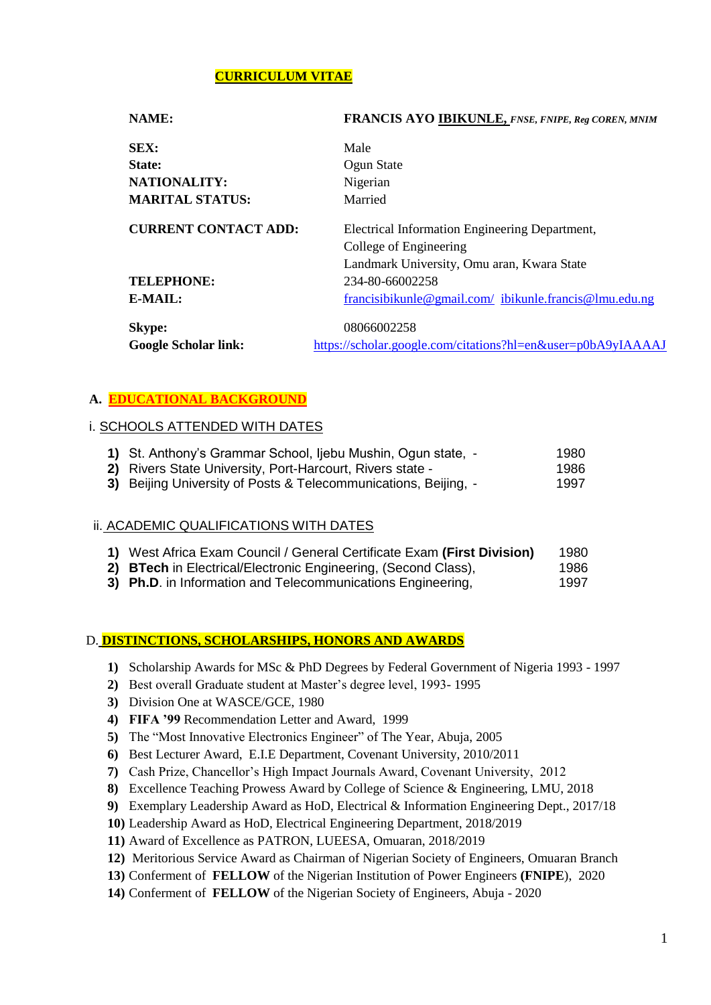# **CURRICULUM VITAE**

| NAME:                                        | FRANCIS AYO IBIKUNLE, FNSE, FNIPE, Reg COREN, MNIM                                                                     |
|----------------------------------------------|------------------------------------------------------------------------------------------------------------------------|
| SEX:                                         | Male                                                                                                                   |
| <b>State:</b>                                | Ogun State                                                                                                             |
| <b>NATIONALITY:</b>                          | Nigerian                                                                                                               |
| <b>MARITAL STATUS:</b>                       | Married                                                                                                                |
| <b>CURRENT CONTACT ADD:</b>                  | Electrical Information Engineering Department,<br>College of Engineering<br>Landmark University, Omu aran, Kwara State |
| <b>TELEPHONE:</b>                            | 234-80-66002258                                                                                                        |
| $E-MAIL:$                                    | francisibikunle@gmail.com/ibikunle.francis@lmu.edu.ng                                                                  |
| <b>Skype:</b><br><b>Google Scholar link:</b> | 08066002258<br>https://scholar.google.com/citations?hl=en&user=p0bA9yIAAAAJ                                            |

#### **A. EDUCATIONAL BACKGROUND**

#### i. SCHOOLS ATTENDED WITH DATES

| 1) St. Anthony's Grammar School, Ijebu Mushin, Ogun state, -    | 1980 |
|-----------------------------------------------------------------|------|
| 2) Rivers State University, Port-Harcourt, Rivers state -       | 1986 |
| 3) Beijing University of Posts & Telecommunications, Beijing, - | 1997 |

#### ii. ACADEMIC QUALIFICATIONS WITH DATES

|  |  |  |  | 1) West Africa Exam Council / General Certificate Exam (First Division) | 1980 |
|--|--|--|--|-------------------------------------------------------------------------|------|
|--|--|--|--|-------------------------------------------------------------------------|------|

- **2) BTech** in Electrical/Electronic Engineering, (Second Class), 1986
- **3) Ph.D.** in Information and Telecommunications Engineering, 1997

### D. **DISTINCTIONS, SCHOLARSHIPS, HONORS AND AWARDS**

- **1)** Scholarship Awards for MSc & PhD Degrees by Federal Government of Nigeria 1993 1997
- **2)** Best overall Graduate student at Master's degree level, 1993- 1995
- **3)** Division One at WASCE/GCE, 1980
- **4) FIFA '99** Recommendation Letter and Award, 1999
- **5)** The "Most Innovative Electronics Engineer" of The Year, Abuja, 2005
- **6)** Best Lecturer Award, E.I.E Department, Covenant University, 2010/2011
- **7)** Cash Prize, Chancellor's High Impact Journals Award, Covenant University, 2012
- **8)** Excellence Teaching Prowess Award by College of Science & Engineering, LMU, 2018
- **9)** Exemplary Leadership Award as HoD, Electrical & Information Engineering Dept., 2017/18
- **10)** Leadership Award as HoD, Electrical Engineering Department, 2018/2019
- **11)** Award of Excellence as PATRON, LUEESA, Omuaran, 2018/2019
- **12)** Meritorious Service Award as Chairman of Nigerian Society of Engineers, Omuaran Branch
- **13)** Conferment of **FELLOW** of the Nigerian Institution of Power Engineers **(FNIPE**), 2020
- **14)** Conferment of **FELLOW** of the Nigerian Society of Engineers, Abuja 2020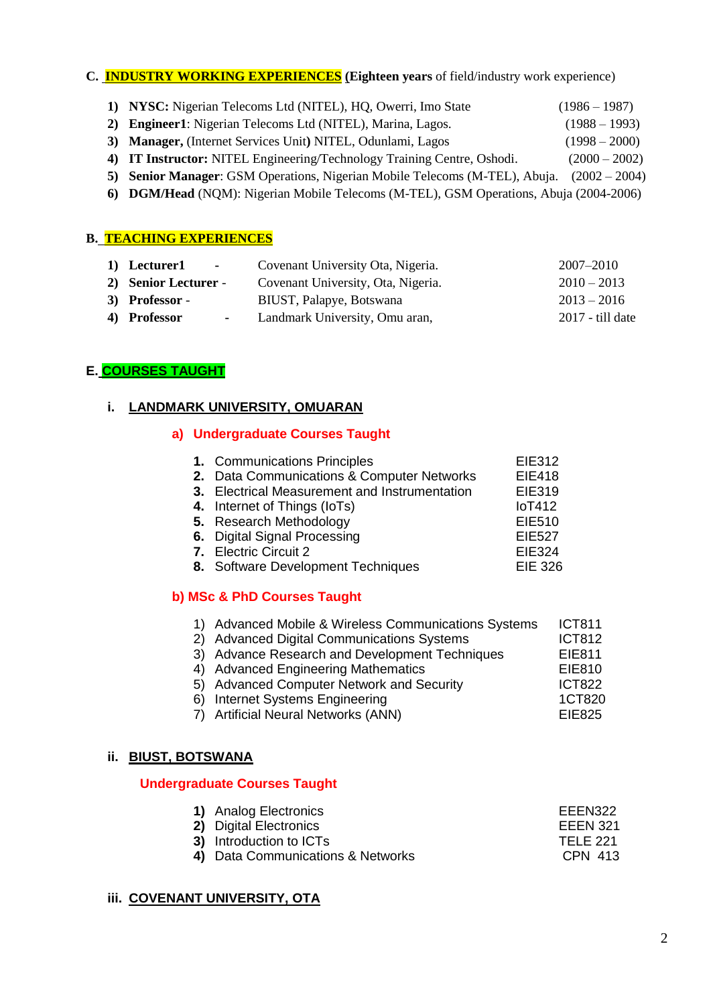# **C. INDUSTRY WORKING EXPERIENCES (Eighteen years** of field/industry work experience)

|  | 1) NYSC: Nigerian Telecoms Ltd (NITEL), HQ, Owerri, Imo State | $(1986 - 1987)$ |
|--|---------------------------------------------------------------|-----------------|
|--|---------------------------------------------------------------|-----------------|

- 2) **Engineer1**: Nigerian Telecoms Ltd (NITEL), Marina, Lagos. (1988 1993)
- **3) Manager,** (Internet Services Unit**)** NITEL, Odunlami, Lagos (1998 2000)
- **4) IT Instructor:** NITEL Engineering/Technology Training Centre, Oshodi. (2000 2002)
- **5) Senior Manager**: GSM Operations, Nigerian Mobile Telecoms (M-TEL), Abuja. (2002 2004)
- **6) DGM/Head** (NQM): Nigerian Mobile Telecoms (M-TEL), GSM Operations, Abuja (2004-2006)

# **B. TEACHING EXPERIENCES**

| 1) Lecturer1<br>$\sim 100$ | Covenant University Ota, Nigeria.  | 2007–2010        |
|----------------------------|------------------------------------|------------------|
| 2) Senior Lecturer -       | Covenant University, Ota, Nigeria. | $2010 - 2013$    |
| 3) Professor -             | BIUST, Palapye, Botswana           | $2013 - 2016$    |
| 4) Professor<br>$\sim 100$ | Landmark University, Omu aran,     | 2017 - till date |

# **E. COURSES TAUGHT**

# **i. LANDMARK UNIVERSITY, OMUARAN**

# **a) Undergraduate Courses Taught**

| 1. Communications Principles                  | EIE312         |
|-----------------------------------------------|----------------|
| 2. Data Communications & Computer Networks    | <b>EIE418</b>  |
| 3. Electrical Measurement and Instrumentation | <b>EIE319</b>  |
| 4. Internet of Things (IoTs)                  | <b>IoT412</b>  |
| 5. Research Methodology                       | EIE510         |
| 6. Digital Signal Processing                  | <b>EIE527</b>  |
| 7. Electric Circuit 2                         | <b>EIE324</b>  |
| 8. Software Development Techniques            | <b>EIE 326</b> |

# **b) MSc & PhD Courses Taught**

| 1) Advanced Mobile & Wireless Communications Systems | <b>ICT811</b> |
|------------------------------------------------------|---------------|
| 2) Advanced Digital Communications Systems           | <b>ICT812</b> |
| 3) Advance Research and Development Techniques       | EIE811        |
| 4) Advanced Engineering Mathematics                  | <b>EIE810</b> |
| 5) Advanced Computer Network and Security            | <b>ICT822</b> |
| 6) Internet Systems Engineering                      | 1CT820        |
| 7) Artificial Neural Networks (ANN)                  | EIE825        |

### **ii. BIUST, BOTSWANA**

### **Undergraduate Courses Taught**

| <b>1)</b> Analog Electronics      | EEEN322        |
|-----------------------------------|----------------|
| <b>2)</b> Digital Electronics     | EEEN 321       |
| 3) Introduction to ICTs           | TELE 221       |
| 4) Data Communications & Networks | <b>CPN 413</b> |

### **iii. COVENANT UNIVERSITY, OTA**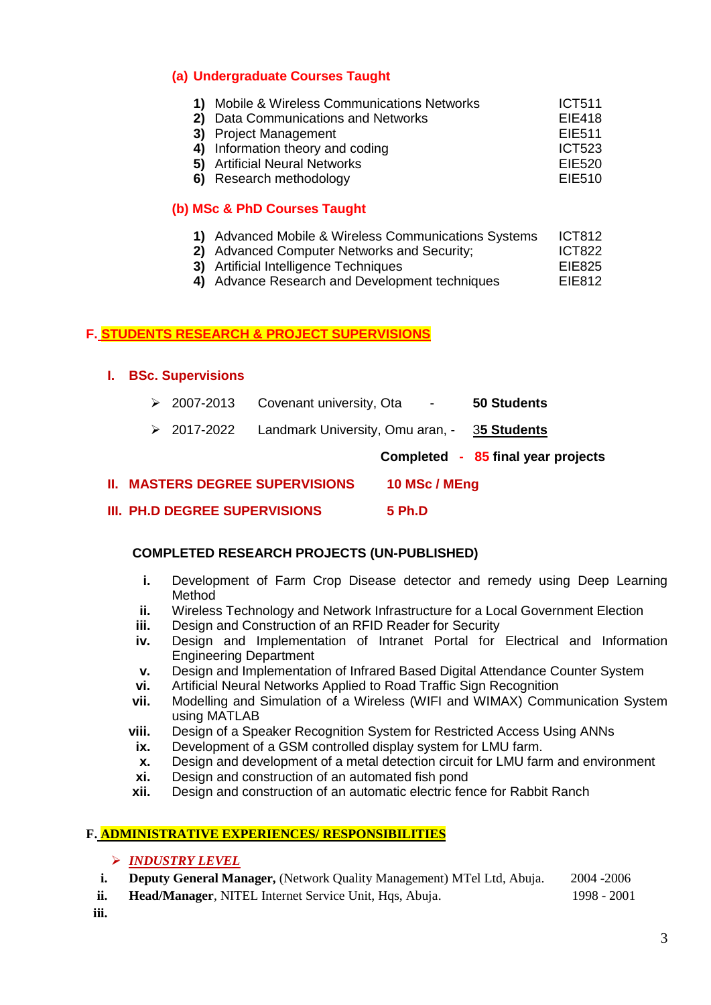# **(a) Undergraduate Courses Taught**

| 1) Mobile & Wireless Communications Networks | <b>ICT511</b> |
|----------------------------------------------|---------------|
| 2) Data Communications and Networks          | EIE418        |
| 3) Project Management                        | EIE511        |
| 4) Information theory and coding             | ICT523        |
| 5) Artificial Neural Networks                | EIE520        |
| 6) Research methodology                      | EIE510        |
|                                              |               |

# **(b) MSc & PhD Courses Taught**

- **1)** Advanced Mobile & Wireless Communications Systems ICT812
- **2)** Advanced Computer Networks and Security; **ICT822**
- **3)** Artificial Intelligence Techniques EIE825
- **4)** Advance Research and Development techniques EIE812

### **F. STUDENTS RESEARCH & PROJECT SUPERVISIONS**

### **I. BSc. Supervisions**

|  |                               | $\geq$ 2007-2013 Covenant university, Ota - |               |               | 50 Students                                                      |
|--|-------------------------------|---------------------------------------------|---------------|---------------|------------------------------------------------------------------|
|  |                               |                                             |               |               | $\geq 2017 - 2022$ Landmark University, Omu aran, $-35$ Students |
|  |                               |                                             |               |               | Completed - 85 final year projects                               |
|  |                               | <b>II. MASTERS DEGREE SUPERVISIONS</b>      |               | 10 MSc / MEng |                                                                  |
|  | III. PH.D DEGREE SUPERVISIONS |                                             | <b>5 Ph.D</b> |               |                                                                  |

# **COMPLETED RESEARCH PROJECTS (UN-PUBLISHED)**

- **i.** Development of Farm Crop Disease detector and remedy using Deep Learning Method
- **ii.** Wireless Technology and Network Infrastructure for a Local Government Election
- **iii.** Design and Construction of an RFID Reader for Security
- **iv.** Design and Implementation of Intranet Portal for Electrical and Information Engineering Department
- **v.** Design and Implementation of Infrared Based Digital Attendance Counter System
- **vi.** Artificial Neural Networks Applied to Road Traffic Sign Recognition
- **vii.** Modelling and Simulation of a Wireless (WIFI and WIMAX) Communication System using MATLAB
- **viii.** Design of a Speaker Recognition System for Restricted Access Using ANNs
- **ix.** Development of a GSM controlled display system for LMU farm.
- **x.** Design and development of a metal detection circuit for LMU farm and environment
- **xi.** Design and construction of an automated fish pond
- **xii.** Design and construction of an automatic electric fence for Rabbit Ranch

# **F. ADMINISTRATIVE EXPERIENCES/ RESPONSIBILITIES**

# *INDUSTRY LEVEL*

- **i. Deputy General Manager,** (Network Quality Management) MTel Ltd, Abuja. 2004 -2006
- **ii. Head/Manager**, NITEL Internet Service Unit, Hqs, Abuja. 1998 2001

**iii.**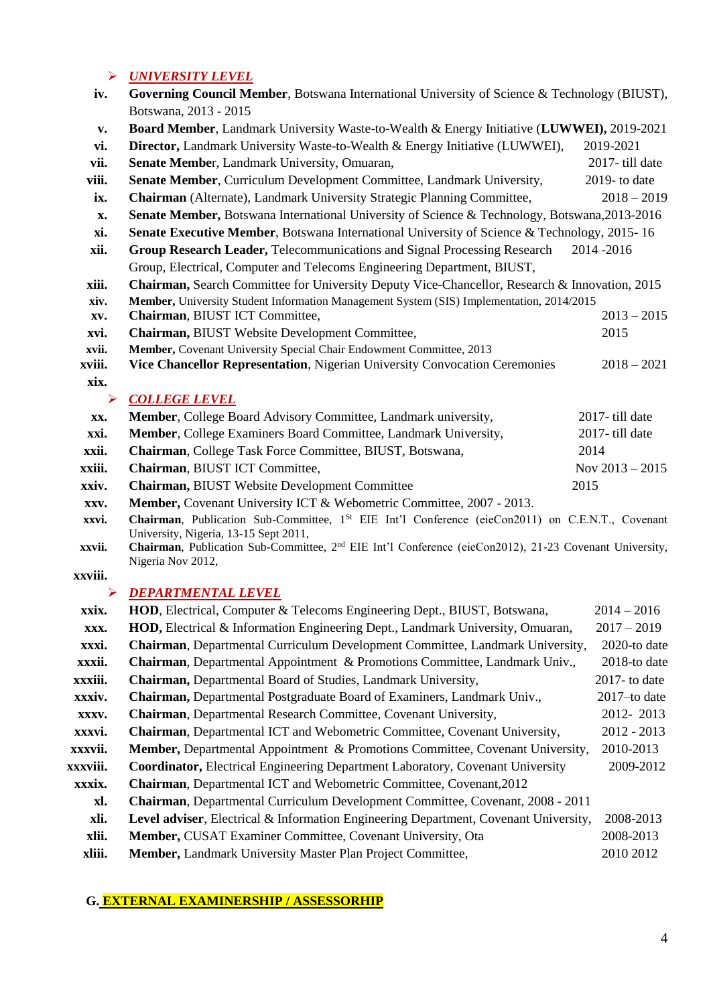# *UNIVERSITY LEVEL*

| iv.            | Governing Council Member, Botswana International University of Science & Technology (BIUST),                                                                |                  |  |  |
|----------------|-------------------------------------------------------------------------------------------------------------------------------------------------------------|------------------|--|--|
|                | Botswana, 2013 - 2015                                                                                                                                       |                  |  |  |
| $\mathbf{v}$ . | Board Member, Landmark University Waste-to-Wealth & Energy Initiative (LUWWEI), 2019-2021                                                                   |                  |  |  |
| vi.            | Director, Landmark University Waste-to-Wealth & Energy Initiative (LUWWEI),                                                                                 | 2019-2021        |  |  |
| vii.           | Senate Member, Landmark University, Omuaran,                                                                                                                | 2017-till date   |  |  |
| viii.          | Senate Member, Curriculum Development Committee, Landmark University,                                                                                       | $2019$ - to date |  |  |
| ix.            | Chairman (Alternate), Landmark University Strategic Planning Committee,                                                                                     | $2018 - 2019$    |  |  |
| $\mathbf{X}$ . | Senate Member, Botswana International University of Science & Technology, Botswana, 2013-2016                                                               |                  |  |  |
| xi.            | Senate Executive Member, Botswana International University of Science & Technology, 2015-16                                                                 |                  |  |  |
| xii.           | Group Research Leader, Telecommunications and Signal Processing Research                                                                                    | 2014-2016        |  |  |
|                | Group, Electrical, Computer and Telecoms Engineering Department, BIUST,                                                                                     |                  |  |  |
| xiii.          | Chairman, Search Committee for University Deputy Vice-Chancellor, Research & Innovation, 2015                                                               |                  |  |  |
| xiv.           | Member, University Student Information Management System (SIS) Implementation, 2014/2015                                                                    |                  |  |  |
| XV.            | Chairman, BIUST ICT Committee,                                                                                                                              | $2013 - 2015$    |  |  |
| xvi.           | Chairman, BIUST Website Development Committee,                                                                                                              | 2015             |  |  |
| xvii.          | Member, Covenant University Special Chair Endowment Committee, 2013                                                                                         |                  |  |  |
| xviii.         | Vice Chancellor Representation, Nigerian University Convocation Ceremonies                                                                                  | $2018 - 2021$    |  |  |
| xix.           |                                                                                                                                                             |                  |  |  |
| ➤              | <b>COLLEGE LEVEL</b>                                                                                                                                        |                  |  |  |
| XX.            | Member, College Board Advisory Committee, Landmark university,                                                                                              | 2017-till date   |  |  |
| xxi.           | Member, College Examiners Board Committee, Landmark University,                                                                                             | 2017-till date   |  |  |
| xxii.          | Chairman, College Task Force Committee, BIUST, Botswana,<br>2014                                                                                            |                  |  |  |
| xxiii.         | Chairman, BIUST ICT Committee,<br>Nov $2013 - 2015$                                                                                                         |                  |  |  |
| xxiv.          | Chairman, BIUST Website Development Committee<br>2015                                                                                                       |                  |  |  |
| XXV.           | Member, Covenant University ICT & Webometric Committee, 2007 - 2013.                                                                                        |                  |  |  |
| xxvi.          | Chairman, Publication Sub-Committee, 1 <sup>St</sup> EIE Int'l Conference (eieCon2011) on C.E.N.T., Covenant                                                |                  |  |  |
| xxvii.         | University, Nigeria, 13-15 Sept 2011,<br>Chairman, Publication Sub-Committee, 2 <sup>nd</sup> EIE Int'l Conference (eieCon2012), 21-23 Covenant University, |                  |  |  |
|                | Nigeria Nov 2012,                                                                                                                                           |                  |  |  |
| xxviii.        |                                                                                                                                                             |                  |  |  |
|                | <b>DEPARTMENTAL LEVEL</b>                                                                                                                                   |                  |  |  |
| xxix.          | HOD, Electrical, Computer & Telecoms Engineering Dept., BIUST, Botswana,                                                                                    | $2014 - 2016$    |  |  |
| XXX.           | HOD, Electrical & Information Engineering Dept., Landmark University, Omuaran,                                                                              | $2017 - 2019$    |  |  |
| xxxi.          | Chairman, Departmental Curriculum Development Committee, Landmark University,                                                                               | 2020-to date     |  |  |
| xxxii.         | Chairman, Departmental Appointment & Promotions Committee, Landmark Univ.,                                                                                  | 2018-to date     |  |  |
| xxxiii.        | Chairman, Departmental Board of Studies, Landmark University,                                                                                               | $2017$ - to date |  |  |
| xxxiv.         | Chairman, Departmental Postgraduate Board of Examiners, Landmark Univ.,                                                                                     | 2017-to date     |  |  |
| XXXV.          | Chairman, Departmental Research Committee, Covenant University,                                                                                             | 2012-2013        |  |  |
| xxxvi.         | Chairman, Departmental ICT and Webometric Committee, Covenant University,                                                                                   | 2012 - 2013      |  |  |
| xxxvii.        | Member, Departmental Appointment & Promotions Committee, Covenant University,                                                                               | 2010-2013        |  |  |
| xxxviii.       | <b>Coordinator, Electrical Engineering Department Laboratory, Covenant University</b>                                                                       | 2009-2012        |  |  |

- **xxxix. Chairman**, Departmental ICT and Webometric Committee, Covenant,2012
	- **xl. Chairman**, Departmental Curriculum Development Committee, Covenant, 2008 2011
	- **xli. Level adviser**, Electrical & Information Engineering Department, Covenant University, 2008-2013
	- **xlii. Member,** CUSAT Examiner Committee, Covenant University, Ota 2008-2013
	- **xliii. Member,** Landmark University Master Plan Project Committee, 2010 2012

### **G. EXTERNAL EXAMINERSHIP / ASSESSORHIP**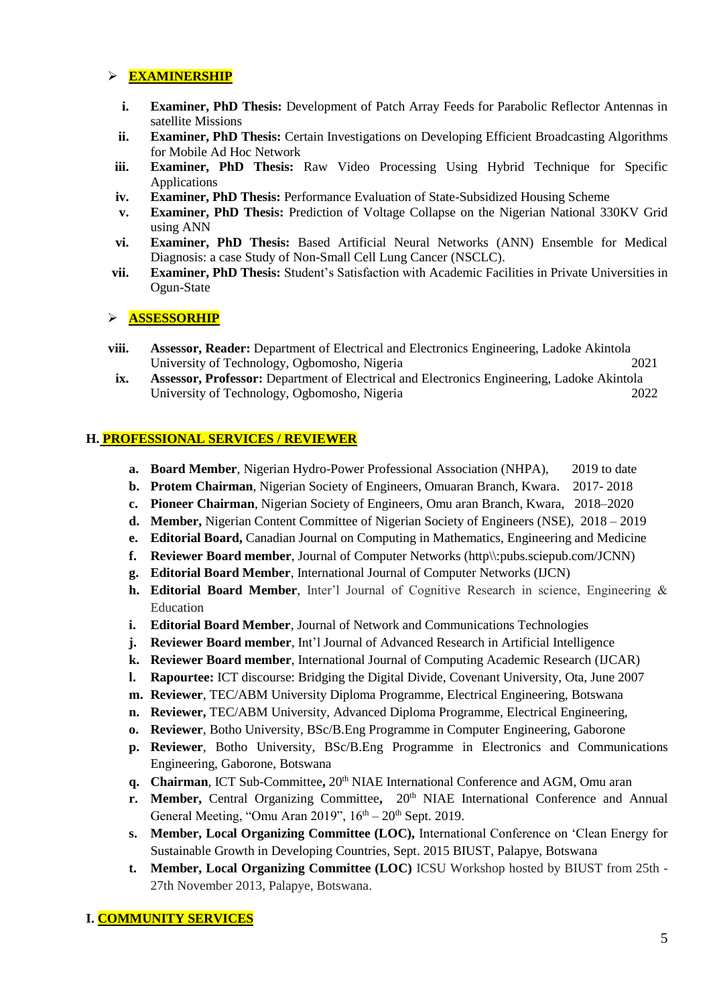# **EXAMINERSHIP**

- **i. Examiner, PhD Thesis:** Development of Patch Array Feeds for Parabolic Reflector Antennas in satellite Missions
- **ii. Examiner, PhD Thesis:** Certain Investigations on Developing Efficient Broadcasting Algorithms for Mobile Ad Hoc Network
- **iii. Examiner, PhD Thesis:** Raw Video Processing Using Hybrid Technique for Specific **Applications**
- **iv. Examiner, PhD Thesis:** Performance Evaluation of State-Subsidized Housing Scheme
- **v. Examiner, PhD Thesis:** Prediction of Voltage Collapse on the Nigerian National 330KV Grid using ANN
- **vi. Examiner, PhD Thesis:** Based Artificial Neural Networks (ANN) Ensemble for Medical Diagnosis: a case Study of Non-Small Cell Lung Cancer (NSCLC).
- **vii. Examiner, PhD Thesis:** Student's Satisfaction with Academic Facilities in Private Universities in Ogun-State

### **ASSESSORHIP**

- **viii. Assessor, Reader:** Department of Electrical and Electronics Engineering, Ladoke Akintola University of Technology, Ogbomosho, Nigeria 2021
- **ix. Assessor, Professor:** Department of Electrical and Electronics Engineering, Ladoke Akintola University of Technology, Ogbomosho, Nigeria 2022

#### **H. PROFESSIONAL SERVICES / REVIEWER**

- **a. Board Member**, Nigerian Hydro-Power Professional Association (NHPA), 2019 to date
- **b. Protem Chairman**, Nigerian Society of Engineers, Omuaran Branch, Kwara. 2017- 2018
- **c. Pioneer Chairman**, Nigerian Society of Engineers, Omu aran Branch, Kwara, 2018–2020
- **d. Member,** Nigerian Content Committee of Nigerian Society of Engineers (NSE), 2018 2019
- **e. Editorial Board,** Canadian Journal on Computing in Mathematics, Engineering and Medicine
- **f. Reviewer Board member**, Journal of Computer Networks (http\\:pubs.sciepub.com/JCNN)
- **g. Editorial Board Member**, International Journal of Computer Networks (IJCN)
- **h. Editorial Board Member**, [Inter'l Journal of Cognitive Research in science, Engineering &](http://ijcrsee.com/index.php/ijcrsee/index)  [Educ](http://ijcrsee.com/index.php/ijcrsee/index)ation
- **i. Editorial Board Member**, Journal of Network and Communications Technologies
- **j. Reviewer Board member**, Int'l Journal of Advanced Research in Artificial Intelligence
- **k. Reviewer Board member**, International Journal of Computing Academic Research (IJCAR)
- **l. Rapourtee:** ICT discourse: Bridging the Digital Divide, Covenant University, Ota, June 2007
- **m. Reviewer**, TEC/ABM University Diploma Programme, Electrical Engineering, Botswana
- **n. Reviewer,** TEC/ABM University, Advanced Diploma Programme, Electrical Engineering,
- **o. Reviewer**, Botho University, BSc/B.Eng Programme in Computer Engineering, Gaborone
- **p. Reviewer**, Botho University, BSc/B.Eng Programme in Electronics and Communications Engineering, Gaborone, Botswana
- **q. Chairman**, ICT Sub-Committee**,** 20th NIAE International Conference and AGM, Omu aran
- **r. Member,** Central Organizing Committee, 20<sup>th</sup> NIAE International Conference and Annual General Meeting, "Omu Aran 2019",  $16<sup>th</sup> - 20<sup>th</sup>$  Sept. 2019.
- **s. Member, Local Organizing Committee (LOC),** International Conference on 'Clean Energy for Sustainable Growth in Developing Countries, Sept. 2015 BIUST, Palapye, Botswana
- **t. Member, Local Organizing Committee (LOC)** ICSU Workshop hosted by BIUST from 25th 27th November 2013, Palapye, Botswana.

### **I. COMMUNITY SERVICES**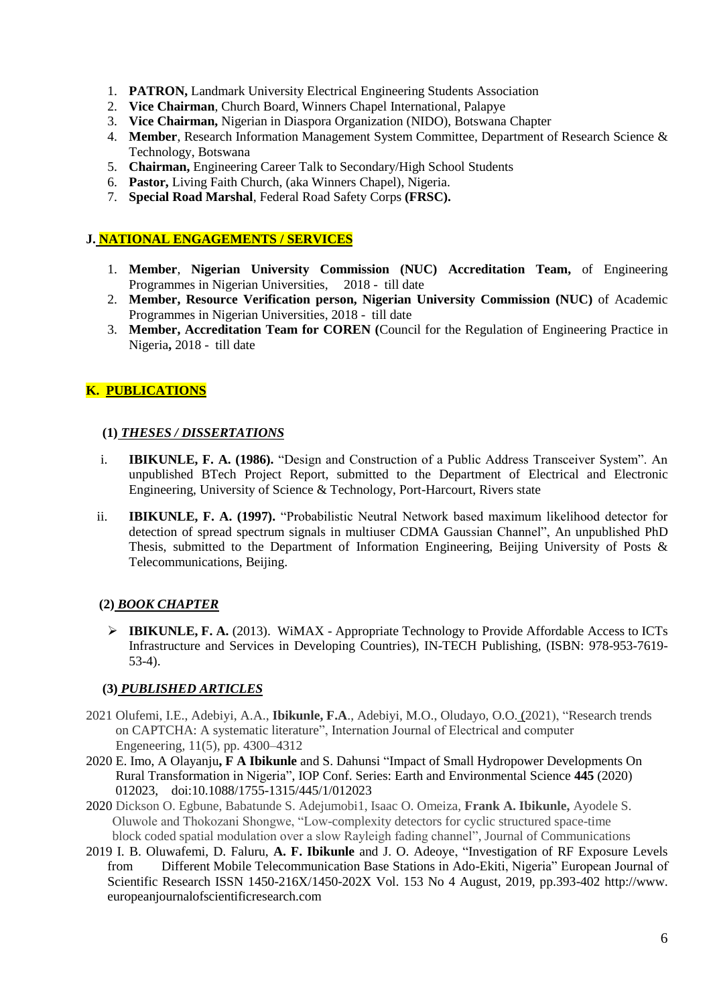- 1. **PATRON,** Landmark University Electrical Engineering Students Association
- 2. **Vice Chairman**, Church Board, Winners Chapel International, Palapye
- 3. **Vice Chairman,** Nigerian in Diaspora Organization (NIDO), Botswana Chapter
- 4. **Member**, Research Information Management System Committee, Department of Research Science & Technology, Botswana
- 5. **Chairman,** Engineering Career Talk to Secondary/High School Students
- 6. **Pastor,** Living Faith Church, (aka Winners Chapel), Nigeria.
- 7. **Special Road Marshal**, Federal Road Safety Corps **(FRSC).**

### **J. NATIONAL ENGAGEMENTS / SERVICES**

- 1. **Member**, **Nigerian University Commission (NUC) Accreditation Team,** of Engineering Programmes in Nigerian Universities, 2018 - till date
- 2. **Member, Resource Verification person, Nigerian University Commission (NUC)** of Academic Programmes in Nigerian Universities, 2018 - till date
- 3. **Member, Accreditation Team for COREN (**Council for the Regulation of Engineering Practice in Nigeria**,** 2018 - till date

### **K. PUBLICATIONS**

#### **(1)** *THESES / DISSERTATIONS*

- i. **IBIKUNLE, F. A. (1986).** "Design and Construction of a Public Address Transceiver System". An unpublished BTech Project Report, submitted to the Department of Electrical and Electronic Engineering, University of Science & Technology, Port-Harcourt, Rivers state
- ii. **IBIKUNLE, F. A. (1997).** "Probabilistic Neutral Network based maximum likelihood detector for detection of spread spectrum signals in multiuser CDMA Gaussian Channel", An unpublished PhD Thesis, submitted to the Department of Information Engineering, Beijing University of Posts & Telecommunications, Beijing.

### **(2)** *BOOK CHAPTER*

 **IBIKUNLE, F. A.** (2013). WiMAX - Appropriate Technology to Provide Affordable Access to ICTs Infrastructure and Services in Developing Countries), IN-TECH Publishing, (ISBN: 978-953-7619- 53-4).

### **(3)** *PUBLISHED ARTICLES*

- 2021 [Olufemi, I.E.,](https://www.scopus.com/authid/detail.uri?authorId=57224214200) [Adebiyi, A.A.,](https://www.scopus.com/authid/detail.uri?authorId=22978651100) **[Ibikunle, F.A](https://www.scopus.com/authid/detail.uri?authorId=26666087700)**., [Adebiyi, M.O.,](https://www.scopus.com/authid/detail.uri?authorId=36011449300) [Oludayo, O.O.](https://www.scopus.com/authid/detail.uri?authorId=57224226166) (2021), "Research trends on CAPTCHA: A systematic literature", Internation Journal of Electrical and computer Engeneering, 11(5), pp. 4300–4312
- 2020 E. Imo, A Olayanju**, F A Ibikunle** and S. Dahunsi "Impact of Small Hydropower Developments On Rural Transformation in Nigeria", IOP Conf. Series: Earth and Environmental Science **445** (2020) 012023, doi:10.1088/1755-1315/445/1/012023
- 2020 Dickson O. Egbune, Babatunde S. Adejumobi1, Isaac O. Omeiza, **Frank A. Ibikunle,** Ayodele S. Oluwole and Thokozani Shongwe, "Low-complexity detectors for cyclic structured space-time block coded spatial modulation over a slow Rayleigh fading channel", Journal of Communications
- 2019 I. B. Oluwafemi, D. Faluru, **A. F. Ibikunle** and J. O. Adeoye, "Investigation of RF Exposure Levels from Different Mobile Telecommunication Base Stations in Ado-Ekiti, Nigeria" European Journal of Scientific Research ISSN 1450-216X/1450-202X Vol. 153 No 4 August, 2019, pp.393-402 http://www. europeanjournalofscientificresearch.com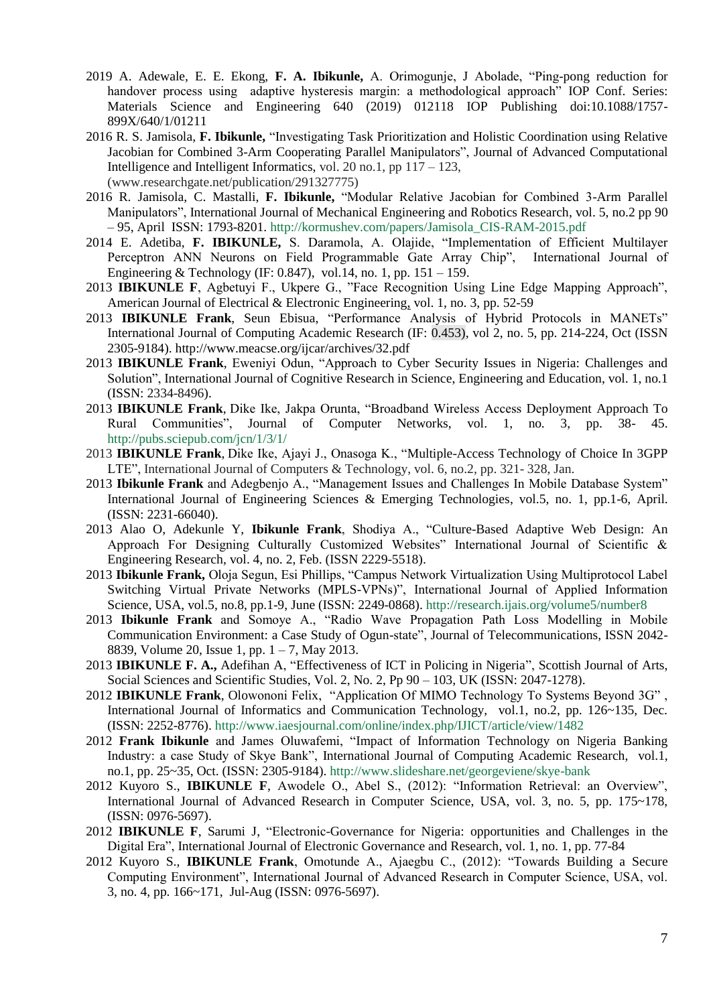- 2019 A. Adewale, E. E. Ekong, **F. A. Ibikunle,** A. Orimogunje, J Abolade, "Ping-pong reduction for handover process using adaptive hysteresis margin: a methodological approach" IOP Conf. Series: Materials Science and Engineering 640 (2019) 012118 IOP Publishing doi:10.1088/1757- 899X/640/1/01211
- 2016 R. S. Jamisola, **F. Ibikunle,** "Investigating Task Prioritization and Holistic Coordination using Relative Jacobian for Combined 3-Arm Cooperating Parallel Manipulators", Journal of Advanced Computational Intelligence and Intelligent Informatics, vol. 20 no.1, pp  $117 - 123$ , (www.researchgate.net/publication/291327775)
- 2016 R. Jamisola, C. Mastalli, **F. Ibikunle,** "Modular Relative Jacobian for Combined 3-Arm Parallel Manipulators", International Journal of Mechanical Engineering and Robotics Research, vol. 5, no.2 pp 90 – 95, April ISSN: 1793-8201. http://kormushev.com/papers/Jamisola\_CIS-RAM-2015.pdf
- 2014 E. Adetiba, **F. IBIKUNLE,** S. Daramola, A. Olajide, "Implementation of Efficient Multilayer Perceptron ANN Neurons on Field Programmable Gate Array Chip", International Journal of Engineering & Technology (IF: 0.847), vol.14, no. 1, pp.  $151 - 159$ .
- 2013 **IBIKUNLE F**, Agbetuyi F., Ukpere G., "Face Recognition Using Line Edge Mapping Approach", American Journal of Electrical & Electronic Engineering, vol. 1, no. 3, pp. 52-59
- 2013 **IBIKUNLE Frank**, Seun Ebisua, "Performance Analysis of Hybrid Protocols in MANETs" International Journal of Computing Academic Research (IF: 0.453), vol 2, no. 5, pp. 214-224, Oct (ISSN 2305-9184). http://www.meacse.org/ijcar/archives/32.pdf
- 2013 **IBIKUNLE Frank**, Eweniyi Odun, "Approach to Cyber Security Issues in Nigeria: Challenges and Solution", International Journal of Cognitive Research in Science, Engineering and Education, vol. 1, no.1 (ISSN: 2334-8496).
- 2013 **IBIKUNLE Frank**, Dike Ike, Jakpa Orunta, "Broadband Wireless Access Deployment Approach To Rural Communities", Journal of Computer Networks, vol. 1, no. 3, pp. 38- 45. http://pubs.sciepub.com/jcn/1/3/1/
- 2013 **IBIKUNLE Frank**, Dike Ike, Ajayi J., Onasoga K., "Multiple-Access Technology of Choice In 3GPP LTE", International Journal of Computers & Technology, vol. 6, no.2, pp. 321- 328, Jan.
- 2013 **Ibikunle Frank** and Adegbenjo A., "Management Issues and Challenges In Mobile Database System" International Journal of Engineering Sciences & Emerging Technologies, vol.5, no. 1, pp.1-6, April. (ISSN: 2231-66040).
- 2013 Alao O, Adekunle Y, **Ibikunle Frank**, Shodiya A., "Culture-Based Adaptive Web Design: An Approach For Designing Culturally Customized Websites" International Journal of Scientific & Engineering Research, vol. 4, no. 2, Feb. (ISSN 2229-5518).
- 2013 **Ibikunle Frank,** Oloja Segun, Esi Phillips, "Campus Network Virtualization Using Multiprotocol Label Switching Virtual Private Networks (MPLS-VPNs)", International Journal of Applied Information Science, USA, vol.5, no.8, pp.1-9, June (ISSN: 2249-0868). http://research.ijais.org/volume5/number8
- 2013 **Ibikunle Frank** and Somoye A., "Radio Wave Propagation Path Loss Modelling in Mobile Communication Environment: a Case Study of Ogun-state", Journal of Telecommunications, ISSN 2042- 8839, Volume 20, Issue 1, pp. 1 – 7, May 2013.
- 2013 **IBIKUNLE F. A.,** Adefihan A, "Effectiveness of ICT in Policing in Nigeria", Scottish Journal of Arts, Social Sciences and Scientific Studies, Vol. 2, No. 2, Pp 90 – 103, UK (ISSN: 2047-1278).
- 2012 **IBIKUNLE Frank**, Olowononi Felix, "Application Of MIMO Technology To Systems Beyond 3G" , International Journal of Informatics and Communication Technology, vol.1, no.2, pp. 126~135, Dec. (ISSN: 2252-8776). http://www.iaesjournal.com/online/index.php/IJICT/article/view/1482
- 2012 **Frank Ibikunle** and James Oluwafemi, "Impact of Information Technology on Nigeria Banking Industry: a case Study of Skye Bank", International Journal of Computing Academic Research, vol.1, no.1, pp. 25~35, Oct. (ISSN: 2305-9184). http://www.slideshare.net/georgeviene/skye-bank
- 2012 Kuyoro S., **IBIKUNLE F**, Awodele O., Abel S., (2012): "Information Retrieval: an Overview", International Journal of Advanced Research in Computer Science, USA, vol. 3, no. 5, pp. 175~178, (ISSN: 0976-5697).
- 2012 **IBIKUNLE F**, Sarumi J, "Electronic-Governance for Nigeria: opportunities and Challenges in the Digital Era", International Journal of Electronic Governance and Research, vol. 1, no. 1, pp. 77-84
- 2012 Kuyoro S., **IBIKUNLE Frank**, Omotunde A., Ajaegbu C., (2012): "Towards Building a Secure Computing Environment", International Journal of Advanced Research in Computer Science, USA, vol. 3, no. 4, pp. 166~171, Jul-Aug (ISSN: 0976-5697).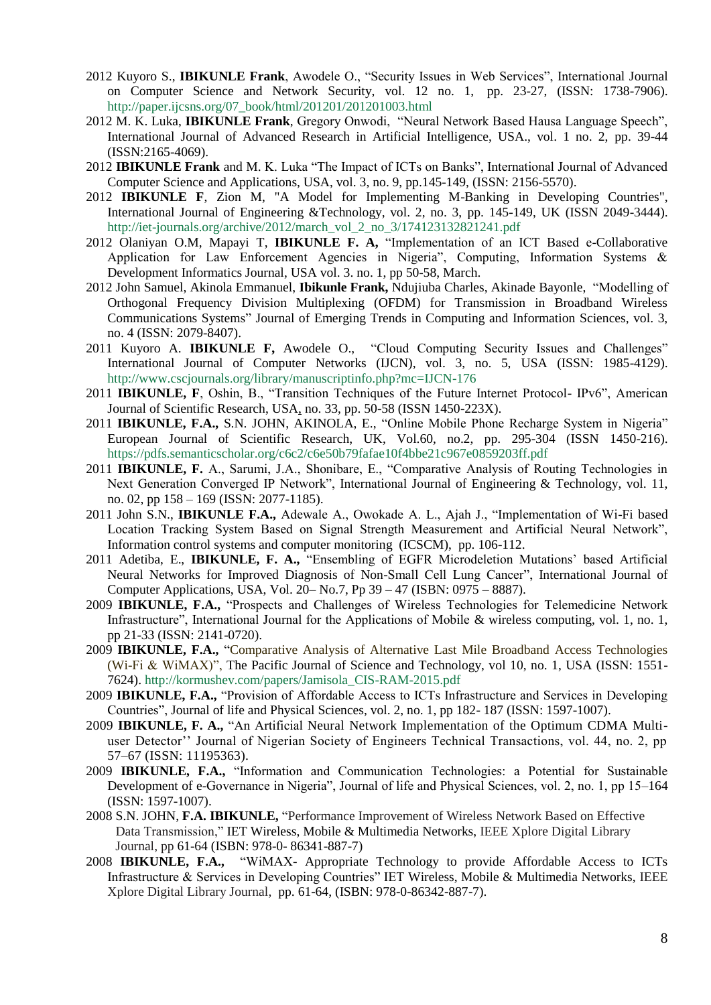- 2012 Kuyoro S., **IBIKUNLE Frank**, Awodele O., "Security Issues in Web Services", International Journal on Computer Science and Network Security, vol. 12 no. 1, pp. 23-27, (ISSN: 1738-7906). http://paper.ijcsns.org/07\_book/html/201201/201201003.html
- 2012 M. K. Luka, **IBIKUNLE Frank**, Gregory Onwodi, "Neural Network Based Hausa Language Speech", International Journal of Advanced Research in Artificial Intelligence, USA., vol. 1 no. 2, pp. 39-44 (ISSN:2165-4069).
- 2012 **IBIKUNLE Frank** and M. K. Luka "The Impact of ICTs on Banks", International Journal of Advanced Computer Science and Applications, USA, vol. 3, no. 9, pp.145-149, (ISSN: 2156-5570).
- 2012 **IBIKUNLE F**, Zion M, "A Model for Implementing M-Banking in Developing Countries", International Journal of Engineering &Technology, vol. 2, no. 3, pp. 145-149, UK (ISSN 2049-3444). http://iet-journals.org/archive/2012/march\_vol\_2\_no\_3/174123132821241.pdf
- 2012 Olaniyan O.M, Mapayi T, **IBIKUNLE F. A,** "Implementation of an ICT Based e-Collaborative Application for Law Enforcement Agencies in Nigeria", Computing, Information Systems & Development Informatics Journal, USA vol. 3. no. 1, pp 50-58, March.
- 2012 John Samuel, Akinola Emmanuel, **Ibikunle Frank,** Ndujiuba Charles, Akinade Bayonle, "Modelling of Orthogonal Frequency Division Multiplexing (OFDM) for Transmission in Broadband Wireless Communications Systems" Journal of Emerging Trends in Computing and Information Sciences, vol. 3, no. 4 (ISSN: 2079-8407).
- 2011 Kuyoro A. **IBIKUNLE F,** Awodele O., "Cloud Computing Security Issues and Challenges" International Journal of Computer Networks (IJCN), vol. 3, no. 5, USA (ISSN: 1985-4129). http://www.cscjournals.org/library/manuscriptinfo.php?mc=IJCN-176
- 2011 **IBIKUNLE, F**, Oshin, B., "Transition Techniques of the Future Internet Protocol- IPv6", American Journal of Scientific Research, USA, no. 33, pp. 50-58 (ISSN 1450-223X).
- 2011 **IBIKUNLE, F.A.,** S.N. JOHN, AKINOLA, E., "Online Mobile Phone Recharge System in Nigeria" European Journal of Scientific Research, UK, Vol.60, no.2, pp. 295-304 (ISSN 1450-216). https://pdfs.semanticscholar.org/c6c2/c6e50b79fafae10f4bbe21c967e0859203ff.pdf
- 2011 **IBIKUNLE, F.** A., Sarumi, J.A., Shonibare, E., "Comparative Analysis of Routing Technologies in Next Generation Converged IP Network", International Journal of Engineering & Technology, vol. 11, no. 02, pp 158 – 169 (ISSN: 2077-1185).
- 2011 John S.N., **IBIKUNLE F.A.,** Adewale A., Owokade A. L., Ajah J., "Implementation of Wi-Fi based Location Tracking System Based on Signal Strength Measurement and Artificial Neural Network", Information control systems and computer monitoring (ICSCM), pp. 106-112.
- 2011 Adetiba, E., **IBIKUNLE, F. A.,** "Ensembling of EGFR Microdeletion Mutations' based Artificial Neural Networks for Improved Diagnosis of Non-Small Cell Lung Cancer", International Journal of Computer Applications, USA, Vol. 20– No.7, Pp 39 – 47 (ISBN: 0975 – 8887).
- 2009 **IBIKUNLE, F.A.,** "Prospects and Challenges of Wireless Technologies for Telemedicine Network Infrastructure", International Journal for the Applications of Mobile & wireless computing, vol. 1, no. 1, pp 21-33 (ISSN: 2141-0720).
- 2009 **IBIKUNLE, F.A.,** "Comparative Analysis of Alternative Last Mile Broadband Access Technologies (Wi-Fi & WiMAX)", The Pacific Journal of Science and Technology, vol 10, no. 1, USA (ISSN: 1551- 7624). http://kormushev.com/papers/Jamisola\_CIS-RAM-2015.pdf
- 2009 **IBIKUNLE, F.A.,** "Provision of Affordable Access to ICTs Infrastructure and Services in Developing Countries", Journal of life and Physical Sciences, vol. 2, no. 1, pp 182- 187 (ISSN: 1597-1007).
- 2009 **IBIKUNLE, F. A.,** "An Artificial Neural Network Implementation of the Optimum CDMA Multiuser Detector'' Journal of Nigerian Society of Engineers Technical Transactions, vol. 44, no. 2, pp 57–67 (ISSN: 11195363).
- 2009 **IBIKUNLE, F.A.,** "Information and Communication Technologies: a Potential for Sustainable Development of e-Governance in Nigeria", Journal of life and Physical Sciences, vol. 2, no. 1, pp 15–164 (ISSN: 1597-1007).
- 2008 S.N. JOHN, **F.A. IBIKUNLE,** "Performance Improvement of Wireless Network Based on Effective Data Transmission," IET Wireless, Mobile & Multimedia Networks, IEEE Xplore Digital Library Journal, pp 61-64 (ISBN: 978-0- 86341-887-7)
- 2008 **IBIKUNLE, F.A.,** "WiMAX- Appropriate Technology to provide Affordable Access to ICTs Infrastructure & Services in Developing Countries" IET Wireless, Mobile & Multimedia Networks, IEEE Xplore Digital Library Journal, pp. 61-64, (ISBN: 978-0-86342-887-7).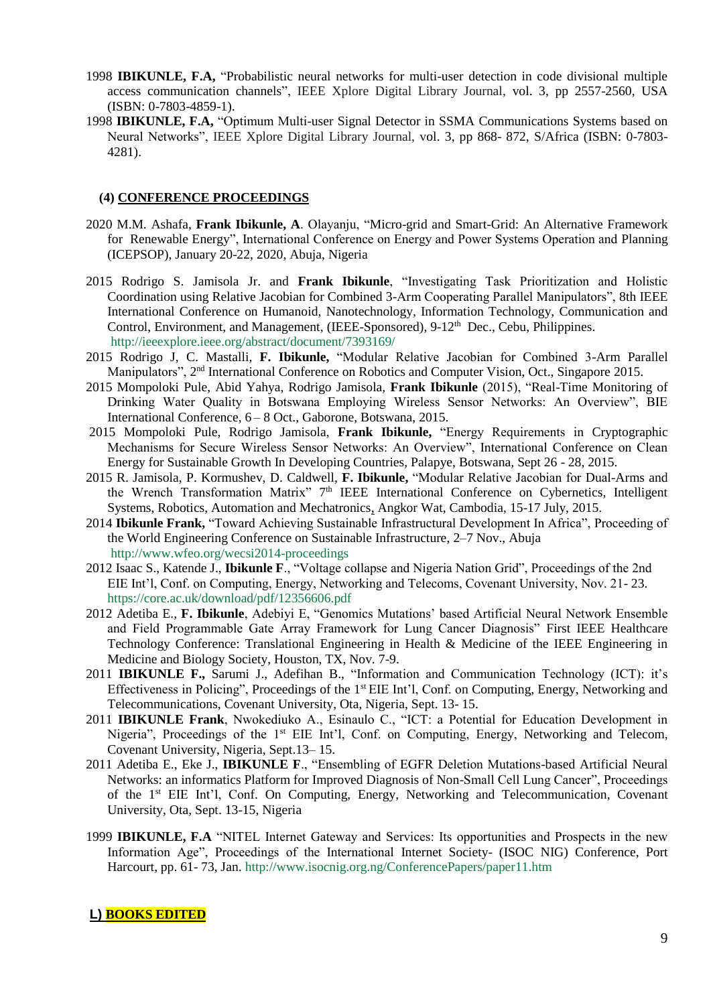- 1998 **IBIKUNLE, F.A,** "Probabilistic neural networks for multi-user detection in code divisional multiple access communication channels", IEEE Xplore Digital Library Journal, vol. 3, pp 2557-2560, USA (ISBN: 0-7803-4859-1).
- 1998 **IBIKUNLE, F.A,** "Optimum Multi-user Signal Detector in SSMA Communications Systems based on Neural Networks", IEEE Xplore Digital Library Journal, vol. 3, pp 868- 872, S/Africa (ISBN: 0-7803- 4281).

#### **(4) CONFERENCE PROCEEDINGS**

- 2020 M.M. Ashafa, **Frank Ibikunle, A**. Olayanju, "Micro-grid and Smart-Grid: An Alternative Framework for Renewable Energy", International Conference on Energy and Power Systems Operation and Planning (ICEPSOP), January 20-22, 2020, Abuja, Nigeria
- 2015 Rodrigo S. Jamisola Jr. and **Frank Ibikunle**, "Investigating Task Prioritization and Holistic Coordination using Relative Jacobian for Combined 3-Arm Cooperating Parallel Manipulators", 8th IEEE International Conference on Humanoid, Nanotechnology, Information Technology, Communication and Control, Environment, and Management, (IEEE-Sponsored), 9-12<sup>th</sup> Dec., Cebu, Philippines. http://ieeexplore.ieee.org/abstract/document/7393169/
- 2015 Rodrigo J, C. Mastalli, **F. Ibikunle,** "Modular Relative Jacobian for Combined 3-Arm Parallel Manipulators", 2<sup>nd</sup> International Conference on Robotics and Computer Vision, Oct., Singapore 2015.
- 2015 Mompoloki Pule, Abid Yahya, Rodrigo Jamisola, **Frank Ibikunle** (2015), "Real-Time Monitoring of Drinking Water Quality in Botswana Employing Wireless Sensor Networks: An Overview", BIE International Conference, 6 – 8 Oct., Gaborone, Botswana, 2015.
- 2015 Mompoloki Pule, Rodrigo Jamisola, **Frank Ibikunle,** "Energy Requirements in Cryptographic Mechanisms for Secure Wireless Sensor Networks: An Overview", International Conference on Clean Energy for Sustainable Growth In Developing Countries, Palapye, Botswana, Sept 26 - 28, 2015.
- 2015 R. Jamisola, P. Kormushev, D. Caldwell, **F. Ibikunle,** "Modular Relative Jacobian for Dual-Arms and the Wrench Transformation Matrix" 7<sup>th</sup> IEEE International Conference on Cybernetics, Intelligent Systems, Robotics, Automation and Mechatronics, Angkor Wat, Cambodia, 15-17 July, 2015.
- 2014 **Ibikunle Frank,** "Toward Achieving Sustainable Infrastructural Development In Africa", Proceeding of the World Engineering Conference on Sustainable Infrastructure, 2–7 Nov., Abuja http://www.wfeo.org/wecsi2014-proceedings
- 2012 Isaac S., Katende J., **Ibikunle F**., "Voltage collapse and Nigeria Nation Grid", Proceedings of the 2nd EIE Int'l, Conf. on Computing, Energy, Networking and Telecoms, Covenant University, Nov. 21- 23. https://core.ac.uk/download/pdf/12356606.pdf
- 2012 Adetiba E., **F. Ibikunle**, Adebiyi E, "Genomics Mutations' based Artificial Neural Network Ensemble and Field Programmable Gate Array Framework for Lung Cancer Diagnosis" First IEEE Healthcare Technology Conference: Translational Engineering in Health & Medicine of the IEEE Engineering in Medicine and Biology Society, Houston, TX, Nov. 7-9.
- 2011 **IBIKUNLE F.,** Sarumi J., Adefihan B., "Information and Communication Technology (ICT): it's Effectiveness in Policing", Proceedings of the 1<sup>st</sup> EIE Int'l, Conf. on Computing, Energy, Networking and Telecommunications, Covenant University, Ota, Nigeria, Sept. 13- 15.
- 2011 **IBIKUNLE Frank**, Nwokediuko A., Esinaulo C., "ICT: a Potential for Education Development in Nigeria", Proceedings of the 1<sup>st</sup> EIE Int'l, Conf. on Computing, Energy, Networking and Telecom, Covenant University, Nigeria, Sept.13– 15.
- 2011 Adetiba E., Eke J., **IBIKUNLE F**., "Ensembling of EGFR Deletion Mutations-based Artificial Neural Networks: an informatics Platform for Improved Diagnosis of Non-Small Cell Lung Cancer", Proceedings of the 1<sup>st</sup> EIE Int'l, Conf. On Computing, Energy, Networking and Telecommunication, Covenant University, Ota, Sept. 13-15, Nigeria
- 1999 **IBIKUNLE, F.A** "NITEL Internet Gateway and Services: Its opportunities and Prospects in the new Information Age", Proceedings of the International Internet Society- (ISOC NIG) Conference, Port Harcourt, pp. 61- 73, Jan. http://www.isocnig.org.ng/ConferencePapers/paper11.htm

#### **L) BOOKS EDITED**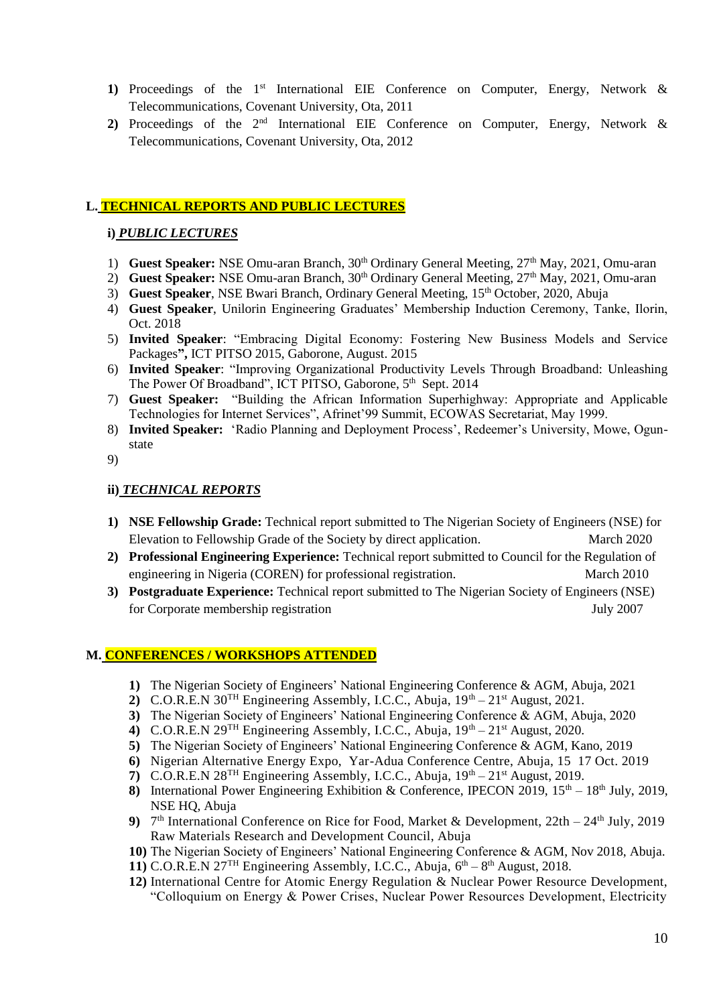- 1) Proceedings of the 1<sup>st</sup> International EIE Conference on Computer, Energy, Network & Telecommunications, Covenant University, Ota, 2011
- **2)** Proceedings of the 2nd International EIE Conference on Computer, Energy, Network & Telecommunications, Covenant University, Ota, 2012

# **L. TECHNICAL REPORTS AND PUBLIC LECTURES**

#### **i)** *PUBLIC LECTURES*

- 1) **Guest Speaker:** NSE Omu-aran Branch, 30<sup>th</sup> Ordinary General Meeting, 27<sup>th</sup> May, 2021, Omu-aran
- 2) **Guest Speaker:** NSE Omu-aran Branch, 30<sup>th</sup> Ordinary General Meeting, 27<sup>th</sup> May, 2021, Omu-aran
- 3) **Guest Speaker**, NSE Bwari Branch, Ordinary General Meeting, 15<sup>th</sup> October, 2020, Abuja
- 4) **Guest Speaker**, Unilorin Engineering Graduates' Membership Induction Ceremony, Tanke, Ilorin, Oct. 2018
- 5) **Invited Speaker**: "Embracing Digital Economy: Fostering New Business Models and Service Packages**",** ICT PITSO 2015, Gaborone, August. 2015
- 6) **Invited Speaker**: "Improving Organizational Productivity Levels Through Broadband: Unleashing The Power Of Broadband", ICT PITSO, Gaborone, 5<sup>th</sup> Sept. 2014
- 7) **Guest Speaker:** "Building the African Information Superhighway: Appropriate and Applicable Technologies for Internet Services", Afrinet'99 Summit, ECOWAS Secretariat, May 1999.
- 8) **Invited Speaker:** 'Radio Planning and Deployment Process', Redeemer's University, Mowe, Ogunstate
- 9)

#### **ii)** *TECHNICAL REPORTS*

- **1) NSE Fellowship Grade:** Technical report submitted to The Nigerian Society of Engineers (NSE) for Elevation to Fellowship Grade of the Society by direct application. March 2020
- **2) Professional Engineering Experience:** Technical report submitted to Council for the Regulation of engineering in Nigeria (COREN) for professional registration. March 2010
- **3) Postgraduate Experience:** Technical report submitted to The Nigerian Society of Engineers (NSE) for Corporate membership registration July 2007

### **M. CONFERENCES / WORKSHOPS ATTENDED**

- **1)** The Nigerian Society of Engineers' National Engineering Conference & AGM, Abuja, 2021
- **2)** C.O.R.E.N  $30^{TH}$  Engineering Assembly, I.C.C., Abuja,  $19^{th} 21^{st}$  August, 2021.
- **3)** The Nigerian Society of Engineers' National Engineering Conference & AGM, Abuja, 2020
- 4) C.O.R.E.N 29<sup>TH</sup> Engineering Assembly, I.C.C., Abuja, 19<sup>th</sup> 21<sup>st</sup> August, 2020.
- **5)** The Nigerian Society of Engineers' National Engineering Conference & AGM, Kano, 2019
- **6)** Nigerian Alternative Energy Expo, Yar-Adua Conference Centre, Abuja, 15 17 Oct. 2019
- **7)** C.O.R.E.N 28<sup>TH</sup> Engineering Assembly, I.C.C., Abuja,  $19<sup>th</sup> 21<sup>st</sup>$  August, 2019.
- 8) International Power Engineering Exhibition & Conference, IPECON 2019, 15<sup>th</sup> 18<sup>th</sup> July, 2019, NSE HQ, Abuja
- 9) 7<sup>th</sup> International Conference on Rice for Food, Market & Development, 22th 24<sup>th</sup> July, 2019 Raw Materials Research and Development Council, Abuja
- **10)** The Nigerian Society of Engineers' National Engineering Conference & AGM, Nov 2018, Abuja.
- **11**) C.O.R.E.N 27<sup>TH</sup> Engineering Assembly, I.C.C., Abuja,  $6<sup>th</sup> 8<sup>th</sup>$  August, 2018.
- **12)** International Centre for Atomic Energy Regulation & Nuclear Power Resource Development, "Colloquium on Energy & Power Crises, Nuclear Power Resources Development, Electricity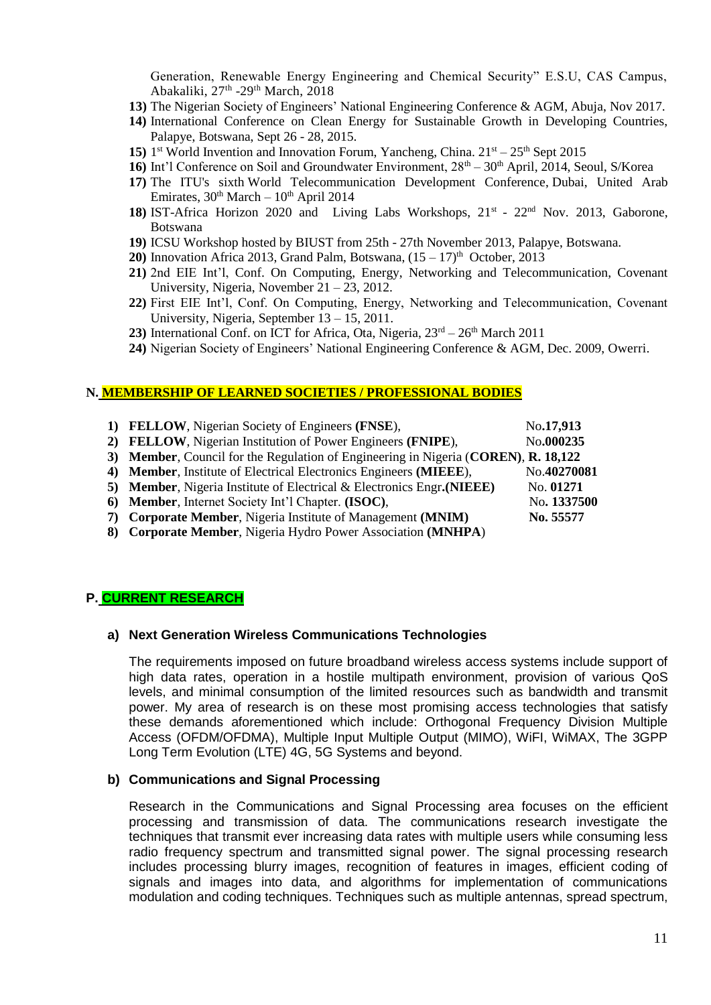Generation, Renewable Energy Engineering and Chemical Security" E.S.U, CAS Campus, Abakaliki, 27<sup>th</sup> -29<sup>th</sup> March, 2018

- **13)** The Nigerian Society of Engineers' National Engineering Conference & AGM, Abuja, Nov 2017.
- **14)** International Conference on Clean Energy for Sustainable Growth in Developing Countries, Palapye, Botswana, Sept 26 - 28, 2015.
- 15)  $1<sup>st</sup>$  World Invention and Innovation Forum, Yancheng, China.  $21<sup>st</sup> 25<sup>th</sup>$  Sept 2015
- 16) Int'l Conference on Soil and Groundwater Environment,  $28<sup>th</sup> 30<sup>th</sup>$  April, 2014, Seoul, S/Korea
- **17)** The ITU's sixth World Telecommunication Development Conference, Dubai, United Arab Emirates,  $30<sup>th</sup> March - 10<sup>th</sup> April 2014$
- 18) IST-Africa Horizon 2020 and Living Labs Workshops, 21<sup>st</sup> 22<sup>nd</sup> Nov. 2013, Gaborone, Botswana
- **19)** ICSU Workshop hosted by BIUST from 25th 27th November 2013, Palapye, Botswana.
- **20**) Innovation Africa 2013, Grand Palm, Botswana,  $(15 17)^{th}$  October, 2013
- **21)** 2nd EIE Int'l, Conf. On Computing, Energy, Networking and Telecommunication, Covenant University, Nigeria, November 21 – 23, 2012.
- **22)** First EIE Int'l, Conf. On Computing, Energy, Networking and Telecommunication, Covenant University, Nigeria, September 13 – 15, 2011.
- **23**) International Conf. on ICT for Africa, Ota, Nigeria,  $23<sup>rd</sup> 26<sup>th</sup>$  March 2011
- **24)** Nigerian Society of Engineers' National Engineering Conference & AGM, Dec. 2009, Owerri.

#### **N. MEMBERSHIP OF LEARNED SOCIETIES / PROFESSIONAL BODIES**

- **1) FELLOW**, Nigerian Society of Engineers **(FNSE**), No**.17,913 2) FELLOW**, Nigerian Institution of Power Engineers **(FNIPE**), No**.000235 3) Member**, Council for the Regulation of Engineering in Nigeria (**COREN)**, **R. 18,122 4) Member**, Institute of Electrical Electronics Engineers **(MIEEE**), No.**40270081 5) Member**, Nigeria Institute of Electrical & Electronics Engr**.(NIEEE)** No. **01271 6) Member**, Internet Society Int'l Chapter. **(ISOC)**, No**. 1337500 7) Corporate Member**, Nigeria Institute of Management **(MNIM) No. 55577**
- **8) Corporate Member**, Nigeria Hydro Power Association **(MNHPA**)

### **P. CURRENT RESEARCH**

#### **a) Next Generation Wireless Communications Technologies**

The requirements imposed on future broadband wireless access systems include support of high data rates, operation in a hostile multipath environment, provision of various QoS levels, and minimal consumption of the limited resources such as bandwidth and transmit power. My area of research is on these most promising access technologies that satisfy these demands aforementioned which include: Orthogonal Frequency Division Multiple Access (OFDM/OFDMA), Multiple Input Multiple Output (MIMO), WiFI, WiMAX, The 3GPP Long Term Evolution (LTE) 4G, 5G Systems and beyond.

#### **b) Communications and Signal Processing**

Research in the Communications and Signal Processing area focuses on the efficient processing and transmission of data. The communications research investigate the techniques that transmit ever increasing data rates with multiple users while consuming less radio frequency spectrum and transmitted signal power. The signal processing research includes processing blurry images, recognition of features in images, efficient coding of signals and images into data, and algorithms for implementation of communications modulation and coding techniques. Techniques such as multiple antennas, spread spectrum,